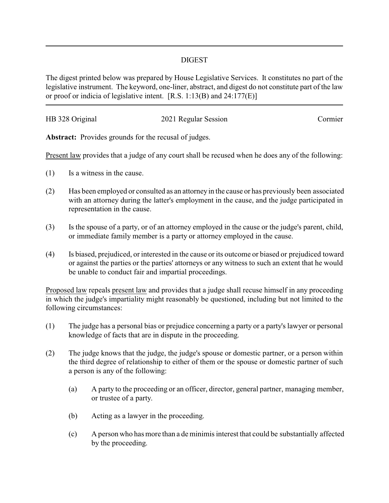## DIGEST

The digest printed below was prepared by House Legislative Services. It constitutes no part of the legislative instrument. The keyword, one-liner, abstract, and digest do not constitute part of the law or proof or indicia of legislative intent. [R.S. 1:13(B) and 24:177(E)]

| HB 328 Original | 2021 Regular Session | Cormier |
|-----------------|----------------------|---------|
|                 |                      |         |

**Abstract:** Provides grounds for the recusal of judges.

Present law provides that a judge of any court shall be recused when he does any of the following:

- (1) Is a witness in the cause.
- (2) Has been employed or consulted as an attorneyin the cause or has previously been associated with an attorney during the latter's employment in the cause, and the judge participated in representation in the cause.
- (3) Is the spouse of a party, or of an attorney employed in the cause or the judge's parent, child, or immediate family member is a party or attorney employed in the cause.
- (4) Is biased, prejudiced, or interested in the cause or its outcome or biased or prejudiced toward or against the parties or the parties' attorneys or any witness to such an extent that he would be unable to conduct fair and impartial proceedings.

Proposed law repeals present law and provides that a judge shall recuse himself in any proceeding in which the judge's impartiality might reasonably be questioned, including but not limited to the following circumstances:

- (1) The judge has a personal bias or prejudice concerning a party or a party's lawyer or personal knowledge of facts that are in dispute in the proceeding.
- (2) The judge knows that the judge, the judge's spouse or domestic partner, or a person within the third degree of relationship to either of them or the spouse or domestic partner of such a person is any of the following:
	- (a) A party to the proceeding or an officer, director, general partner, managing member, or trustee of a party.
	- (b) Acting as a lawyer in the proceeding.
	- (c) A person who has more than a de minimis interest that could be substantially affected by the proceeding.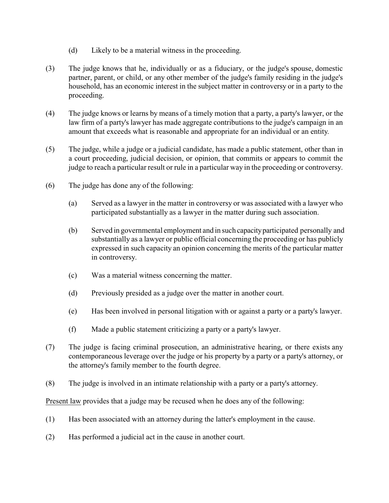- (d) Likely to be a material witness in the proceeding.
- (3) The judge knows that he, individually or as a fiduciary, or the judge's spouse, domestic partner, parent, or child, or any other member of the judge's family residing in the judge's household, has an economic interest in the subject matter in controversy or in a party to the proceeding.
- (4) The judge knows or learns by means of a timely motion that a party, a party's lawyer, or the law firm of a party's lawyer has made aggregate contributions to the judge's campaign in an amount that exceeds what is reasonable and appropriate for an individual or an entity.
- (5) The judge, while a judge or a judicial candidate, has made a public statement, other than in a court proceeding, judicial decision, or opinion, that commits or appears to commit the judge to reach a particular result or rule in a particular way in the proceeding or controversy.
- (6) The judge has done any of the following:
	- (a) Served as a lawyer in the matter in controversy or was associated with a lawyer who participated substantially as a lawyer in the matter during such association.
	- (b) Served in governmental employment and in such capacityparticipated personally and substantially as a lawyer or public official concerning the proceeding or has publicly expressed in such capacity an opinion concerning the merits of the particular matter in controversy.
	- (c) Was a material witness concerning the matter.
	- (d) Previously presided as a judge over the matter in another court.
	- (e) Has been involved in personal litigation with or against a party or a party's lawyer.
	- (f) Made a public statement criticizing a party or a party's lawyer.
- (7) The judge is facing criminal prosecution, an administrative hearing, or there exists any contemporaneous leverage over the judge or his property by a party or a party's attorney, or the attorney's family member to the fourth degree.
- (8) The judge is involved in an intimate relationship with a party or a party's attorney.

Present law provides that a judge may be recused when he does any of the following:

- (1) Has been associated with an attorney during the latter's employment in the cause.
- (2) Has performed a judicial act in the cause in another court.